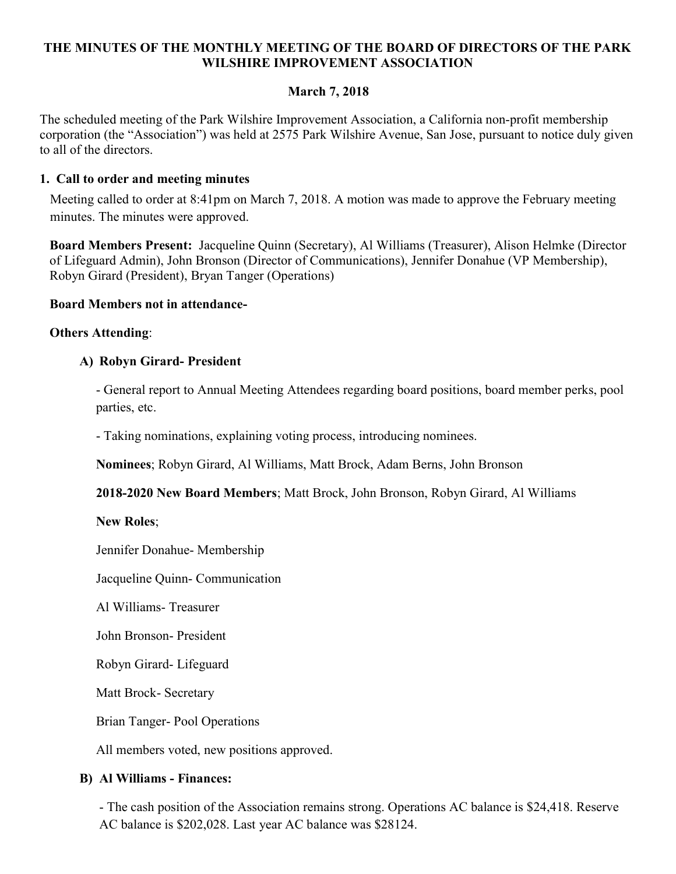## THE MINUTES OF THE MONTHLY MEETING OF THE BOARD OF DIRECTORS OF THE PARK WILSHIRE IMPROVEMENT ASSOCIATION

# March 7, 2018

The scheduled meeting of the Park Wilshire Improvement Association, a California non-profit membership corporation (the "Association") was held at 2575 Park Wilshire Avenue, San Jose, pursuant to notice duly given to all of the directors.

### 1. Call to order and meeting minutes

Meeting called to order at 8:41pm on March 7, 2018. A motion was made to approve the February meeting minutes. The minutes were approved.

Board Members Present: Jacqueline Quinn (Secretary), Al Williams (Treasurer), Alison Helmke (Director of Lifeguard Admin), John Bronson (Director of Communications), Jennifer Donahue (VP Membership), Robyn Girard (President), Bryan Tanger (Operations)

#### Board Members not in attendance-

#### Others Attending:

### A) Robyn Girard- President

- General report to Annual Meeting Attendees regarding board positions, board member perks, pool parties, etc.

- Taking nominations, explaining voting process, introducing nominees.

Nominees; Robyn Girard, Al Williams, Matt Brock, Adam Berns, John Bronson

2018-2020 New Board Members; Matt Brock, John Bronson, Robyn Girard, Al Williams

New Roles;

Jennifer Donahue- Membership

Jacqueline Quinn- Communication

Al Williams- Treasurer

John Bronson- President

Robyn Girard- Lifeguard

Matt Brock- Secretary

Brian Tanger- Pool Operations

All members voted, new positions approved.

### B) Al Williams - Finances:

- The cash position of the Association remains strong. Operations AC balance is \$24,418. Reserve AC balance is \$202,028. Last year AC balance was \$28124.